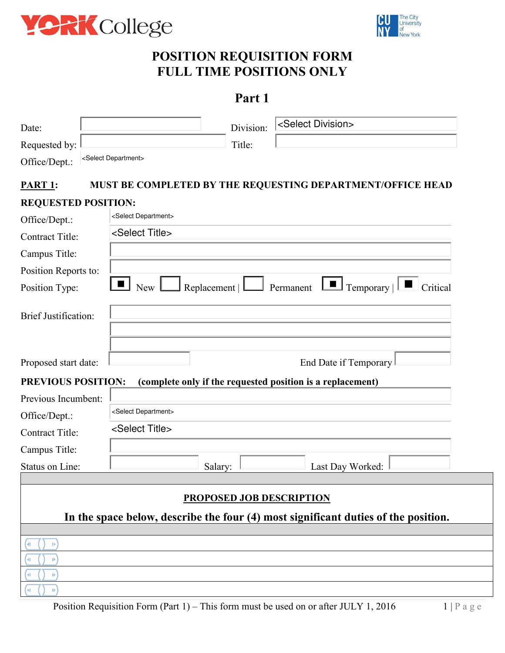



# **POSITION REQUISITION FORM FULL TIME POSITIONS ONLY**

# **Part 1**

| Date:                       |                                   | Division:                       | <select division=""></select>                                                      |
|-----------------------------|-----------------------------------|---------------------------------|------------------------------------------------------------------------------------|
| Requested by:               |                                   | Title:                          |                                                                                    |
| Office/Dept.:               | <select department=""></select>   |                                 |                                                                                    |
|                             |                                   |                                 |                                                                                    |
| <b>PART 1:</b>              |                                   |                                 | MUST BE COMPLETED BY THE REQUESTING DEPARTMENT/OFFICE HEAD                         |
| <b>REQUESTED POSITION:</b>  |                                   |                                 |                                                                                    |
| Office/Dept.:               | <select department=""></select>   |                                 |                                                                                    |
| <b>Contract Title:</b>      | <select title=""></select>        |                                 |                                                                                    |
| Campus Title:               |                                   |                                 |                                                                                    |
| Position Reports to:        |                                   |                                 |                                                                                    |
| Position Type:              | $\blacksquare$ New $\blacksquare$ |                                 | Replacement   $\Box$ Permanent $\Box$ Temporary  <br>Critical                      |
|                             |                                   |                                 |                                                                                    |
| <b>Brief Justification:</b> |                                   |                                 |                                                                                    |
|                             |                                   |                                 |                                                                                    |
|                             |                                   |                                 |                                                                                    |
| Proposed start date:        |                                   |                                 | End Date if Temporary                                                              |
| <b>PREVIOUS POSITION:</b>   |                                   |                                 | (complete only if the requested position is a replacement)                         |
| Previous Incumbent:         |                                   |                                 |                                                                                    |
| Office/Dept.:               | <select department=""></select>   |                                 |                                                                                    |
| <b>Contract Title:</b>      | <select title=""></select>        |                                 |                                                                                    |
| Campus Title:               |                                   |                                 |                                                                                    |
| Status on Line:             |                                   | Salary:                         | Last Day Worked:                                                                   |
|                             |                                   |                                 |                                                                                    |
|                             |                                   | <b>PROPOSED JOB DESCRIPTION</b> |                                                                                    |
|                             |                                   |                                 | In the space below, describe the four (4) most significant duties of the position. |
|                             |                                   |                                 |                                                                                    |
| D                           |                                   |                                 |                                                                                    |
| D                           |                                   |                                 |                                                                                    |
| D                           |                                   |                                 |                                                                                    |
|                             |                                   |                                 |                                                                                    |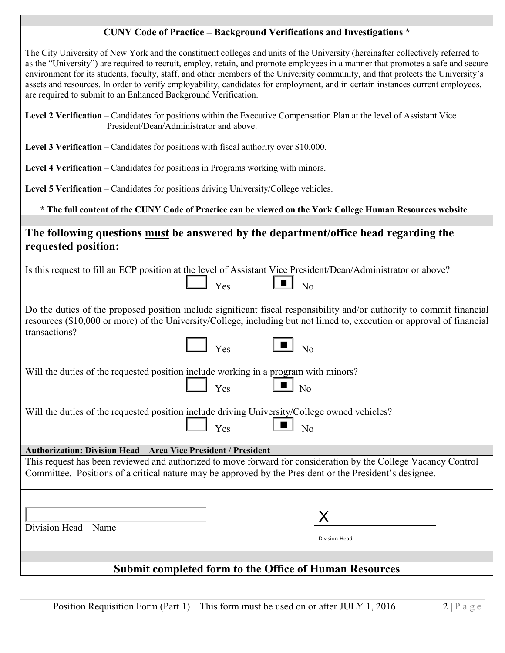#### **CUNY Code of Practice – Background Verifications and Investigations \***

 The City University of New York and the constituent colleges and units of the University (hereinafter collectively referred to as the "University") are required to recruit, employ, retain, and promote employees in a manner that promotes a safe and secure environment for its students, faculty, staff, and other members of the University community, and that protects the University's assets and resources. In order to verify employability, candidates for employment, and in certain instances current employees, are required to submit to an Enhanced Background Verification.

| Level 2 Verification – Candidates for positions within the Executive Compensation Plan at the level of Assistant Vice |
|-----------------------------------------------------------------------------------------------------------------------|
| President/Dean/Administrator and above.                                                                               |

**Level 3 Verification** – Candidates for positions with fiscal authority over \$10,000.

**Level 4 Verification** – Candidates for positions in Programs working with minors.

**Level 5 Verification** – Candidates for positions driving University/College vehicles.

#### **\* The full content of the CUNY Code of Practice can be viewed on the York College Human Resources website**.

### **The following questions must be answered by the department/office head regarding the requested position:**

|  | Is this request to fill an ECP position at the level of Assistant Vice President/Dean/Administrator or above? |
|--|---------------------------------------------------------------------------------------------------------------|
|  |                                                                                                               |

| ∸<br>- - |  | -<br>- |
|----------|--|--------|
|----------|--|--------|

Do the duties of the proposed position include significant fiscal responsibility and/or authority to commit financial resources (\$10,000 or more) of the University/College, including but not limed to, execution or approval of financial transactions?

■

■

| Y es |  | งก |
|------|--|----|
|      |  |    |

Will the duties of the requested position include working in a program with minors?<br> $Y_{\text{es}}$  No

|  | Will the duties of the requested position include driving University/College owned vehicles? |
|--|----------------------------------------------------------------------------------------------|
|  |                                                                                              |
|  |                                                                                              |

Y<sub>es</sub>

| _ |  |  |
|---|--|--|
|   |  |  |
|   |  |  |

 **Authorization: Division Head – Area Vice President / President** 

 This request has been reviewed and authorized to move forward for consideration by the College Vacancy Control Committee. Positions of a critical nature may be approved by the President or the President's designee.

| Division Head – Name | Division Head |
|----------------------|---------------|
|                      |               |

### **Submit completed form to the Office of Human Resources**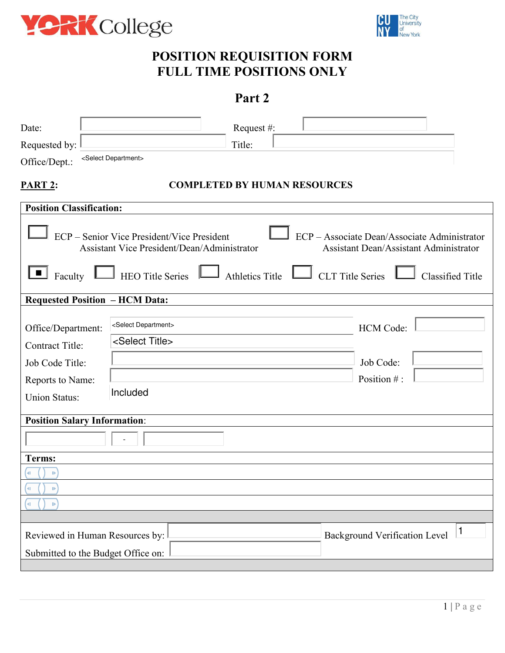



# **POSITION REQUISITION FORM FULL TIME POSITIONS ONLY**

# **Part 2**

| Date:                                                                                                       | Request#:                                                                                                                                                                  |                                                                                                                          |
|-------------------------------------------------------------------------------------------------------------|----------------------------------------------------------------------------------------------------------------------------------------------------------------------------|--------------------------------------------------------------------------------------------------------------------------|
| Requested by:                                                                                               | Title:                                                                                                                                                                     |                                                                                                                          |
| Office/Dept.:                                                                                               | <select department=""></select>                                                                                                                                            |                                                                                                                          |
|                                                                                                             |                                                                                                                                                                            |                                                                                                                          |
| <b>PART 2:</b>                                                                                              | <b>COMPLETED BY HUMAN RESOURCES</b>                                                                                                                                        |                                                                                                                          |
| <b>Position Classification:</b>                                                                             |                                                                                                                                                                            |                                                                                                                          |
|                                                                                                             | ECP - Senior Vice President/Vice President<br><b>Assistant Vice President/Dean/Administrator</b><br><b>Faculty</b> L HEO Title Series L Athletics Title L CLT Title Series | ECP - Associate Dean/Associate Administrator<br><b>Assistant Dean/Assistant Administrator</b><br><b>Classified Title</b> |
| <b>Requested Position - HCM Data:</b>                                                                       |                                                                                                                                                                            |                                                                                                                          |
| Office/Department:<br><b>Contract Title:</b><br>Job Code Title:<br>Reports to Name:<br><b>Union Status:</b> | <select department=""><br/><select title=""><br/>Included</select></select>                                                                                                | <b>HCM</b> Code:<br>Job Code:<br>Position #:                                                                             |
| <b>Position Salary Information:</b>                                                                         |                                                                                                                                                                            |                                                                                                                          |
|                                                                                                             |                                                                                                                                                                            |                                                                                                                          |
| Terms:                                                                                                      |                                                                                                                                                                            |                                                                                                                          |
| $\mathbb D$                                                                                                 |                                                                                                                                                                            |                                                                                                                          |
| ЧI.<br>$\mathbf{D}$                                                                                         |                                                                                                                                                                            |                                                                                                                          |
| 41<br>$\mathbb{D}$                                                                                          |                                                                                                                                                                            |                                                                                                                          |
|                                                                                                             |                                                                                                                                                                            |                                                                                                                          |
| Reviewed in Human Resources by:<br>Submitted to the Budget Office on:                                       |                                                                                                                                                                            | $\mathbf{1}$<br><b>Background Verification Level</b>                                                                     |
|                                                                                                             |                                                                                                                                                                            |                                                                                                                          |